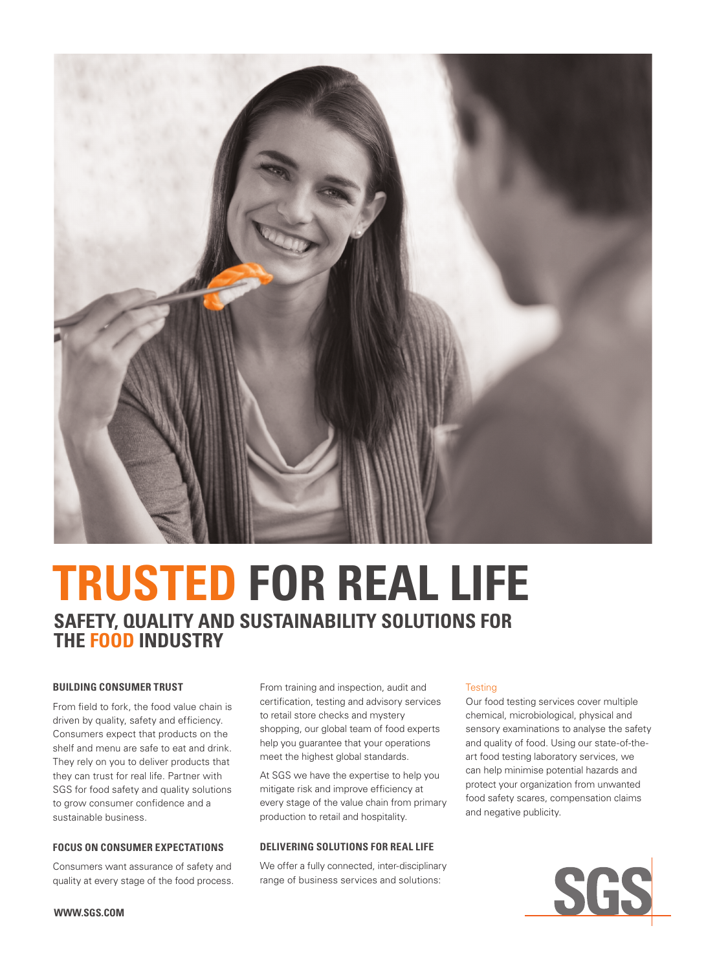

# **TRUSTED FOR REAL LIFE SAFETY, QUALITY AND SUSTAINABILITY SOLUTIONS FOR THE FOOD INDUSTRY**

# **BUILDING CONSUMER TRUST**

From field to fork, the food value chain is driven by quality, safety and efficiency. Consumers expect that products on the shelf and menu are safe to eat and drink. They rely on you to deliver products that they can trust for real life. Partner with SGS for food safety and quality solutions to grow consumer confidence and a sustainable business.

## **FOCUS ON CONSUMER EXPECTATIONS**

Consumers want assurance of safety and quality at every stage of the food process. From training and inspection, audit and certification, testing and advisory services to retail store checks and mystery shopping, our global team of food experts help you guarantee that your operations meet the highest global standards.

At SGS we have the expertise to help you mitigate risk and improve efficiency at every stage of the value chain from primary production to retail and hospitality.

# **DELIVERING SOLUTIONS FOR REAL LIFE**

We offer a fully connected, inter-disciplinary range of business services and solutions:

#### **Testing**

Our food testing services cover multiple chemical, microbiological, physical and sensory examinations to analyse the safety and quality of food. Using our state-of-theart food testing laboratory services, we can help minimise potential hazards and protect your organization from unwanted food safety scares, compensation claims and negative publicity.